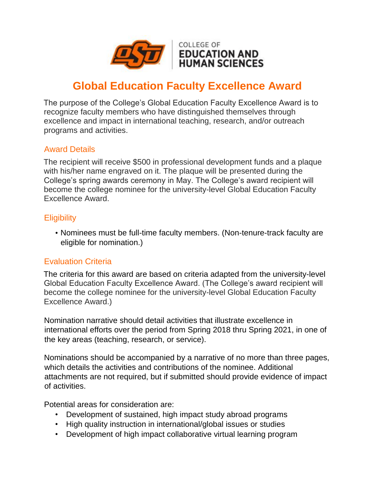

# **Global Education Faculty Excellence Award**

The purpose of the College's Global Education Faculty Excellence Award is to recognize faculty members who have distinguished themselves through excellence and impact in international teaching, research, and/or outreach programs and activities.

### Award Details

The recipient will receive \$500 in professional development funds and a plaque with his/her name engraved on it. The plaque will be presented during the College's spring awards ceremony in May. The College's award recipient will become the college nominee for the university-level Global Education Faculty Excellence Award.

#### **Eligibility**

• Nominees must be full-time faculty members. (Non-tenure-track faculty are eligible for nomination.)

#### Evaluation Criteria

The criteria for this award are based on criteria adapted from the university-level Global Education Faculty Excellence Award. (The College's award recipient will become the college nominee for the university-level Global Education Faculty Excellence Award.)

Nomination narrative should detail activities that illustrate excellence in international efforts over the period from Spring 2018 thru Spring 2021, in one of the key areas (teaching, research, or service).

Nominations should be accompanied by a narrative of no more than three pages, which details the activities and contributions of the nominee. Additional attachments are not required, but if submitted should provide evidence of impact of activities.

Potential areas for consideration are:

- Development of sustained, high impact study abroad programs
- High quality instruction in international/global issues or studies
- Development of high impact collaborative virtual learning program